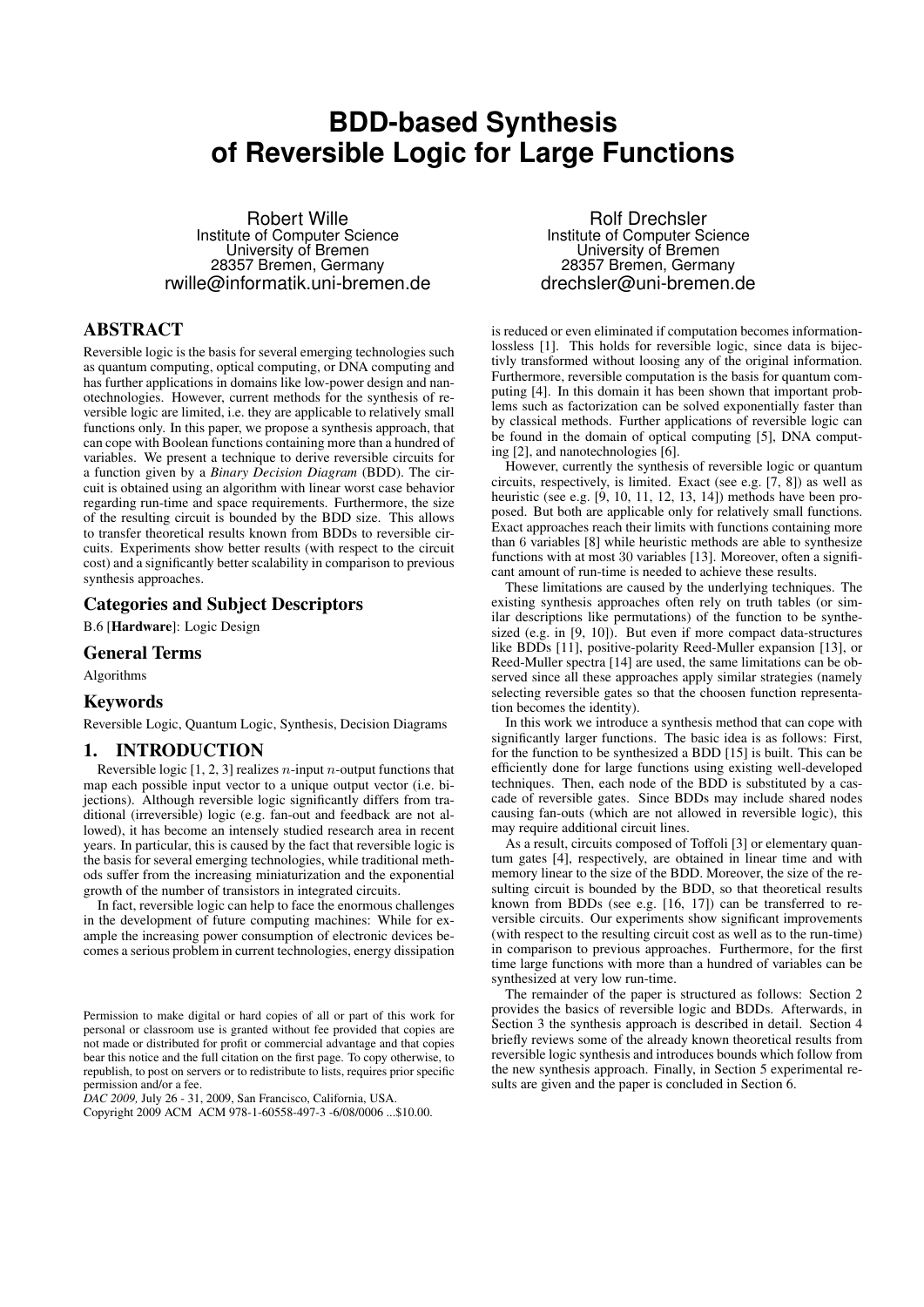# **BDD-based Synthesis of Reversible Logic for Large Functions**

Robert Wille Institute of Computer Science University of Bremen 28357 Bremen, Germany rwille@informatik.uni-bremen.de

## ABSTRACT

Reversible logic is the basis for several emerging technologies such as quantum computing, optical computing, or DNA computing and has further applications in domains like low-power design and nanotechnologies. However, current methods for the synthesis of reversible logic are limited, i.e. they are applicable to relatively small functions only. In this paper, we propose a synthesis approach, that can cope with Boolean functions containing more than a hundred of variables. We present a technique to derive reversible circuits for a function given by a *Binary Decision Diagram* (BDD). The circuit is obtained using an algorithm with linear worst case behavior regarding run-time and space requirements. Furthermore, the size of the resulting circuit is bounded by the BDD size. This allows to transfer theoretical results known from BDDs to reversible circuits. Experiments show better results (with respect to the circuit cost) and a significantly better scalability in comparison to previous synthesis approaches.

## Categories and Subject Descriptors

B.6 [Hardware]: Logic Design

## General Terms

Algorithms

## Keywords

Reversible Logic, Quantum Logic, Synthesis, Decision Diagrams

## 1. INTRODUCTION

Reversible logic  $[1, 2, 3]$  realizes *n*-input *n*-output functions that map each possible input vector to a unique output vector (i.e. bijections). Although reversible logic significantly differs from traditional (irreversible) logic (e.g. fan-out and feedback are not allowed), it has become an intensely studied research area in recent years. In particular, this is caused by the fact that reversible logic is the basis for several emerging technologies, while traditional methods suffer from the increasing miniaturization and the exponential growth of the number of transistors in integrated circuits.

In fact, reversible logic can help to face the enormous challenges in the development of future computing machines: While for example the increasing power consumption of electronic devices becomes a serious problem in current technologies, energy dissipation

*DAC 2009,* July 26 - 31, 2009, San Francisco, California, USA.

Copyright 2009 ACM ACM 978-1-60558-497-3 -6/08/0006 ...\$10.00.

Rolf Drechsler Institute of Computer Science University of Bremen 28357 Bremen, Germany drechsler@uni-bremen.de

is reduced or even eliminated if computation becomes informationlossless [1]. This holds for reversible logic, since data is bijectivly transformed without loosing any of the original information. Furthermore, reversible computation is the basis for quantum computing [4]. In this domain it has been shown that important problems such as factorization can be solved exponentially faster than by classical methods. Further applications of reversible logic can be found in the domain of optical computing [5], DNA computing [2], and nanotechnologies [6].

However, currently the synthesis of reversible logic or quantum circuits, respectively, is limited. Exact (see e.g. [7, 8]) as well as heuristic (see e.g. [9, 10, 11, 12, 13, 14]) methods have been proposed. But both are applicable only for relatively small functions. Exact approaches reach their limits with functions containing more than 6 variables [8] while heuristic methods are able to synthesize functions with at most 30 variables [13]. Moreover, often a significant amount of run-time is needed to achieve these results.

These limitations are caused by the underlying techniques. The existing synthesis approaches often rely on truth tables (or similar descriptions like permutations) of the function to be synthesized (e.g. in [9, 10]). But even if more compact data-structures like BDDs [11], positive-polarity Reed-Muller expansion [13], or Reed-Muller spectra [14] are used, the same limitations can be observed since all these approaches apply similar strategies (namely selecting reversible gates so that the choosen function representation becomes the identity).

In this work we introduce a synthesis method that can cope with significantly larger functions. The basic idea is as follows: First, for the function to be synthesized a BDD [15] is built. This can be efficiently done for large functions using existing well-developed techniques. Then, each node of the BDD is substituted by a cascade of reversible gates. Since BDDs may include shared nodes causing fan-outs (which are not allowed in reversible logic), this may require additional circuit lines.

As a result, circuits composed of Toffoli [3] or elementary quantum gates [4], respectively, are obtained in linear time and with memory linear to the size of the BDD. Moreover, the size of the resulting circuit is bounded by the BDD, so that theoretical results known from BDDs (see e.g. [16, 17]) can be transferred to reversible circuits. Our experiments show significant improvements (with respect to the resulting circuit cost as well as to the run-time) in comparison to previous approaches. Furthermore, for the first time large functions with more than a hundred of variables can be synthesized at very low run-time.

The remainder of the paper is structured as follows: Section 2 provides the basics of reversible logic and BDDs. Afterwards, in Section 3 the synthesis approach is described in detail. Section 4 briefly reviews some of the already known theoretical results from reversible logic synthesis and introduces bounds which follow from the new synthesis approach. Finally, in Section 5 experimental results are given and the paper is concluded in Section 6.

Permission to make digital or hard copies of all or part of this work for personal or classroom use is granted without fee provided that copies are not made or distributed for profit or commercial advantage and that copies bear this notice and the full citation on the first page. To copy otherwise, to republish, to post on servers or to redistribute to lists, requires prior specific permission and/or a fee.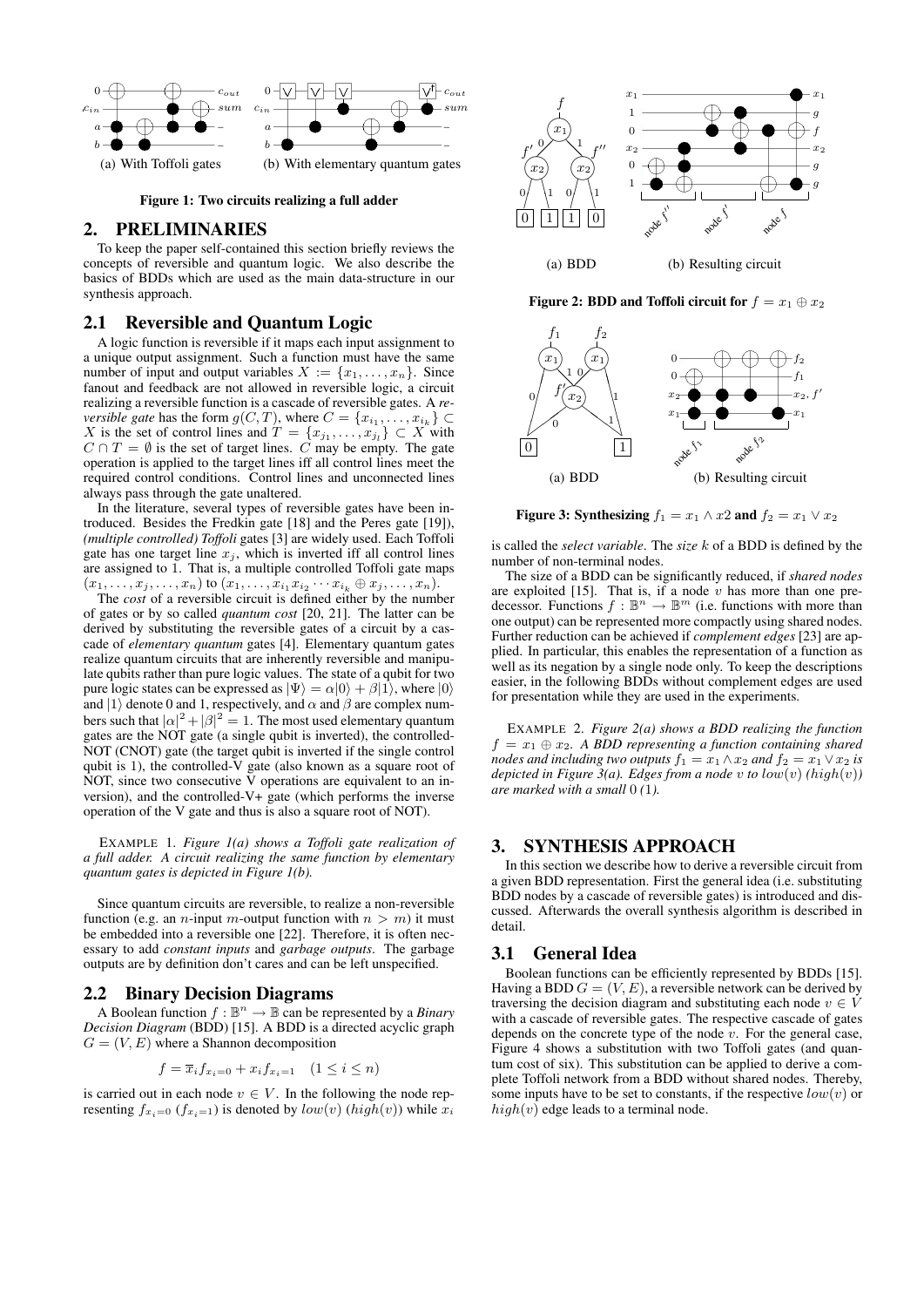

Figure 1: Two circuits realizing a full adder

## 2. PRELIMINARIES

To keep the paper self-contained this section briefly reviews the concepts of reversible and quantum logic. We also describe the basics of BDDs which are used as the main data-structure in our synthesis approach.

## 2.1 Reversible and Quantum Logic

A logic function is reversible if it maps each input assignment to a unique output assignment. Such a function must have the same number of input and output variables  $X := \{x_1, \ldots, x_n\}$ . Since fanout and feedback are not allowed in reversible logic, a circuit realizing a reversible function is a cascade of reversible gates. A *reversible gate* has the form  $g(C, T)$ , where  $C = \{x_{i_1}, \dots, x_{i_k}\} \subset$ X is the set of control lines and  $T = \{x_{j_1}, \ldots, x_{j_l}\} \subset X$  with  $C \cap T = \emptyset$  is the set of target lines.  $\hat{C}$  may be empty. The gate operation is applied to the target lines iff all control lines meet the required control conditions. Control lines and unconnected lines always pass through the gate unaltered.

In the literature, several types of reversible gates have been introduced. Besides the Fredkin gate [18] and the Peres gate [19]), *(multiple controlled) Toffoli* gates [3] are widely used. Each Toffoli gate has one target line  $x_j$ , which is inverted iff all control lines are assigned to 1. That is, a multiple controlled Toffoli gate maps  $(x_1,\ldots,x_j,\ldots,x_n)$  to  $(x_1,\ldots,x_{i_1}x_{i_2}\cdots x_{i_k}\oplus x_j,\ldots,x_n)$ .

The *cost* of a reversible circuit is defined either by the number of gates or by so called *quantum cost* [20, 21]. The latter can be derived by substituting the reversible gates of a circuit by a cascade of *elementary quantum* gates [4]. Elementary quantum gates realize quantum circuits that are inherently reversible and manipulate qubits rather than pure logic values. The state of a qubit for two pure logic states can be expressed as  $|\Psi\rangle = \alpha|0\rangle + \beta|1\rangle$ , where  $|0\rangle$ and  $|1\rangle$  denote 0 and 1, respectively, and  $\alpha$  and  $\beta$  are complex numbers such that  $|\alpha|^2 + |\beta|^2 = 1$ . The most used elementary quantum gates are the NOT gate (a single qubit is inverted), the controlled-NOT (CNOT) gate (the target qubit is inverted if the single control qubit is 1), the controlled-V gate (also known as a square root of NOT, since two consecutive  $\bar{V}$  operations are equivalent to an inversion), and the controlled-V+ gate (which performs the inverse operation of the V gate and thus is also a square root of NOT).

EXAMPLE 1. *Figure 1(a) shows a Toffoli gate realization of a full adder. A circuit realizing the same function by elementary quantum gates is depicted in Figure 1(b).*

Since quantum circuits are reversible, to realize a non-reversible function (e.g. an *n*-input *m*-output function with  $n > m$ ) it must be embedded into a reversible one [22]. Therefore, it is often necessary to add *constant inputs* and *garbage outputs*. The garbage outputs are by definition don't cares and can be left unspecified.

## 2.2 Binary Decision Diagrams

A Boolean function  $f : \mathbb{B}^n \to \mathbb{B}$  can be represented by a *Binary Decision Diagram* (BDD) [15]. A BDD is a directed acyclic graph  $G = (V, E)$  where a Shannon decomposition

$$
f = \overline{x}_i f_{x_i=0} + x_i f_{x_i=1} \quad (1 \le i \le n)
$$

is carried out in each node  $v \in V$ . In the following the node representing  $f_{x_i=0}$  ( $f_{x_i=1}$ ) is denoted by  $low(v)$  ( $high(v)$ ) while  $x_i$ 



Figure 2: BDD and Toffoli circuit for  $f = x_1 \oplus x_2$ 



Figure 3: Synthesizing  $f_1 = x_1 \wedge x_2$  and  $f_2 = x_1 \vee x_2$ 

is called the *select variable*. The *size* k of a BDD is defined by the number of non-terminal nodes.

The size of a BDD can be significantly reduced, if *shared nodes* are exploited  $[15]$ . That is, if a node v has more than one predecessor. Functions  $f : \mathbb{B}^n \to \mathbb{B}^m$  (i.e. functions with more than one output) can be represented more compactly using shared nodes. Further reduction can be achieved if *complement edges* [23] are applied. In particular, this enables the representation of a function as well as its negation by a single node only. To keep the descriptions easier, in the following BDDs without complement edges are used for presentation while they are used in the experiments.

EXAMPLE 2. *Figure 2(a) shows a BDD realizing the function*  $f = x_1 \oplus x_2$ . A BDD representing a function containing shared *nodes and including two outputs*  $f_1 = x_1 \wedge x_2$  *and*  $f_2 = x_1 \vee x_2$  *is depicted in Figure 3(a). Edges from a node* v *to*  $low(v)$  (*high(v)*) *are marked with a small* 0 *(*1*).*

## 3. SYNTHESIS APPROACH

In this section we describe how to derive a reversible circuit from a given BDD representation. First the general idea (i.e. substituting BDD nodes by a cascade of reversible gates) is introduced and discussed. Afterwards the overall synthesis algorithm is described in detail.

#### 3.1 General Idea

Boolean functions can be efficiently represented by BDDs [15]. Having a BDD  $G = (V, E)$ , a reversible network can be derived by traversing the decision diagram and substituting each node  $v \in V$ with a cascade of reversible gates. The respective cascade of gates depends on the concrete type of the node  $v$ . For the general case, Figure 4 shows a substitution with two Toffoli gates (and quantum cost of six). This substitution can be applied to derive a complete Toffoli network from a BDD without shared nodes. Thereby, some inputs have to be set to constants, if the respective  $low(v)$  or  $high(v)$  edge leads to a terminal node.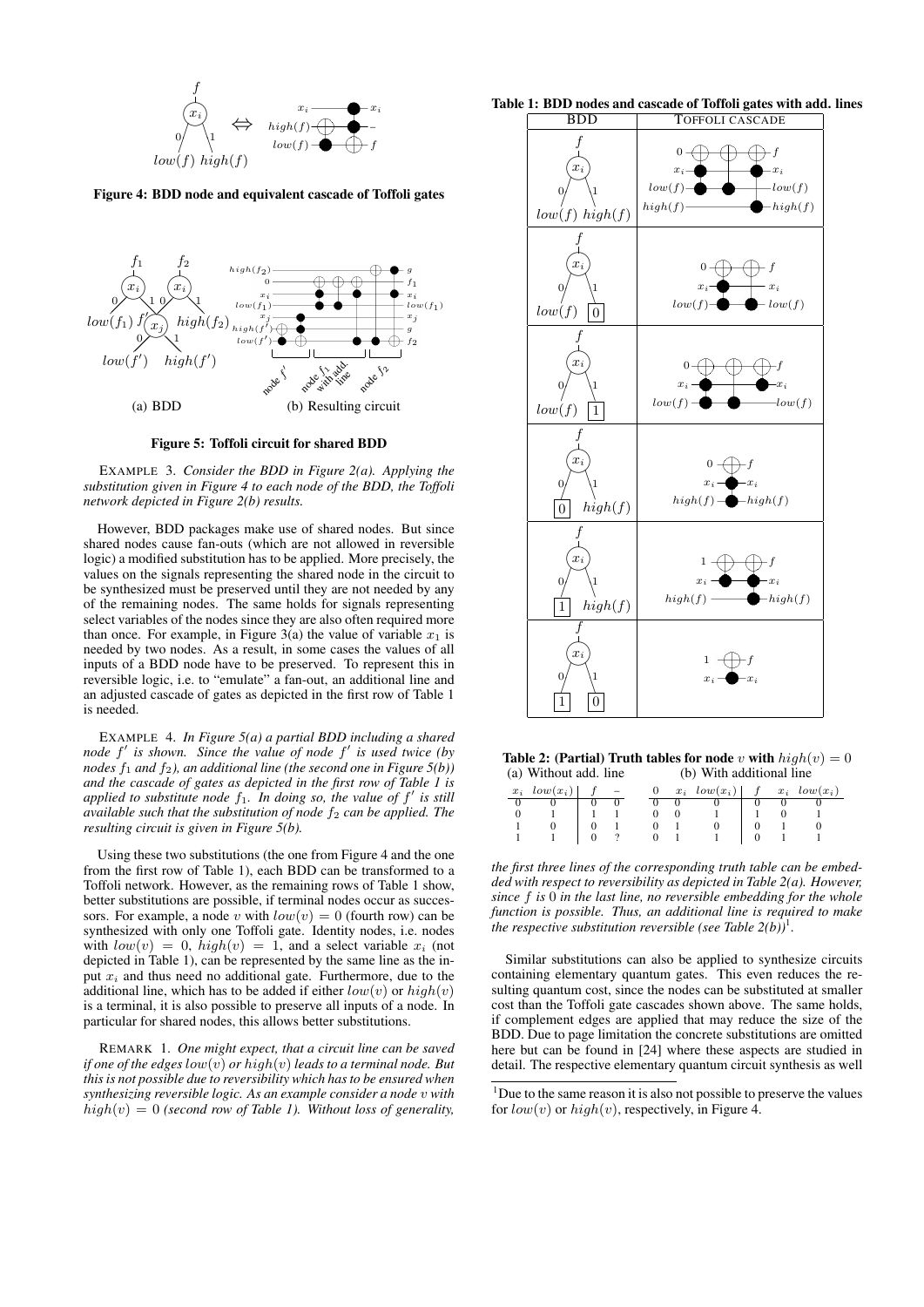

Figure 4: BDD node and equivalent cascade of Toffoli gates



Figure 5: Toffoli circuit for shared BDD

EXAMPLE 3. *Consider the BDD in Figure 2(a). Applying the substitution given in Figure 4 to each node of the BDD, the Toffoli network depicted in Figure 2(b) results.*

However, BDD packages make use of shared nodes. But since shared nodes cause fan-outs (which are not allowed in reversible logic) a modified substitution has to be applied. More precisely, the values on the signals representing the shared node in the circuit to be synthesized must be preserved until they are not needed by any of the remaining nodes. The same holds for signals representing select variables of the nodes since they are also often required more than once. For example, in Figure 3(a) the value of variable  $x_1$  is needed by two nodes. As a result, in some cases the values of all inputs of a BDD node have to be preserved. To represent this in reversible logic, i.e. to "emulate" a fan-out, an additional line and an adjusted cascade of gates as depicted in the first row of Table 1 is needed.

EXAMPLE 4. *In Figure 5(a) a partial BDD including a shared* node f' is shown. Since the value of node f' is used twice (by *nodes*  $f_1$  *and*  $f_2$ *), an additional line (the second one in Figure 5(b)) and the cascade of gates as depicted in the first row of Table 1 is* applied to substitute node  $f_1$ . In doing so, the value of  $f'$  is still *available such that the substitution of node*  $f_2$  *can be applied. The resulting circuit is given in Figure 5(b).*

Using these two substitutions (the one from Figure 4 and the one from the first row of Table 1), each BDD can be transformed to a Toffoli network. However, as the remaining rows of Table 1 show, better substitutions are possible, if terminal nodes occur as successors. For example, a node v with  $low(v) = 0$  (fourth row) can be synthesized with only one Toffoli gate. Identity nodes, i.e. nodes with  $low(v) = 0$ ,  $high(v) = 1$ , and a select variable  $x_i$  (not depicted in Table 1), can be represented by the same line as the input  $x_i$  and thus need no additional gate. Furthermore, due to the additional line, which has to be added if either  $low(v)$  or  $high(v)$ is a terminal, it is also possible to preserve all inputs of a node. In particular for shared nodes, this allows better substitutions.

REMARK 1. *One might expect, that a circuit line can be saved if one of the edges* low(v) *or* high(v) *leads to a terminal node. But this is not possible due to reversibility which has to be ensured when synthesizing reversible logic. As an example consider a node* v *with*  $high(v) = 0$  *(second row of Table 1). Without loss of generality,* 

#### Table 1: BDD nodes and cascade of Toffoli gates with add. lines



Table 2: (Partial) Truth tables for node v with  $hiah(v) = 0$ (a) Without add. line (b) With additional line

| $x_i \quad low(x_i) \mid f$ – |  |  |             | 0 $x_i$ $low(x_i)$ $f$ $x_i$ $low(x_i)$ |  |  |
|-------------------------------|--|--|-------------|-----------------------------------------|--|--|
|                               |  |  |             |                                         |  |  |
|                               |  |  | $0 \quad 0$ |                                         |  |  |
|                               |  |  |             |                                         |  |  |
|                               |  |  |             | $0 \t ? \t 0 \t 1 \t 1$                 |  |  |
|                               |  |  |             |                                         |  |  |

*the first three lines of the corresponding truth table can be embedded with respect to reversibility as depicted in Table 2(a). However, since* f *is* 0 *in the last line, no reversible embedding for the whole function is possible. Thus, an additional line is required to make the respective substitution reversible (see Table*  $2(b)$ *)*<sup>1</sup>.

Similar substitutions can also be applied to synthesize circuits containing elementary quantum gates. This even reduces the resulting quantum cost, since the nodes can be substituted at smaller cost than the Toffoli gate cascades shown above. The same holds, if complement edges are applied that may reduce the size of the BDD. Due to page limitation the concrete substitutions are omitted here but can be found in [24] where these aspects are studied in detail. The respective elementary quantum circuit synthesis as well

 $1$ Due to the same reason it is also not possible to preserve the values for  $low(v)$  or  $high(v)$ , respectively, in Figure 4.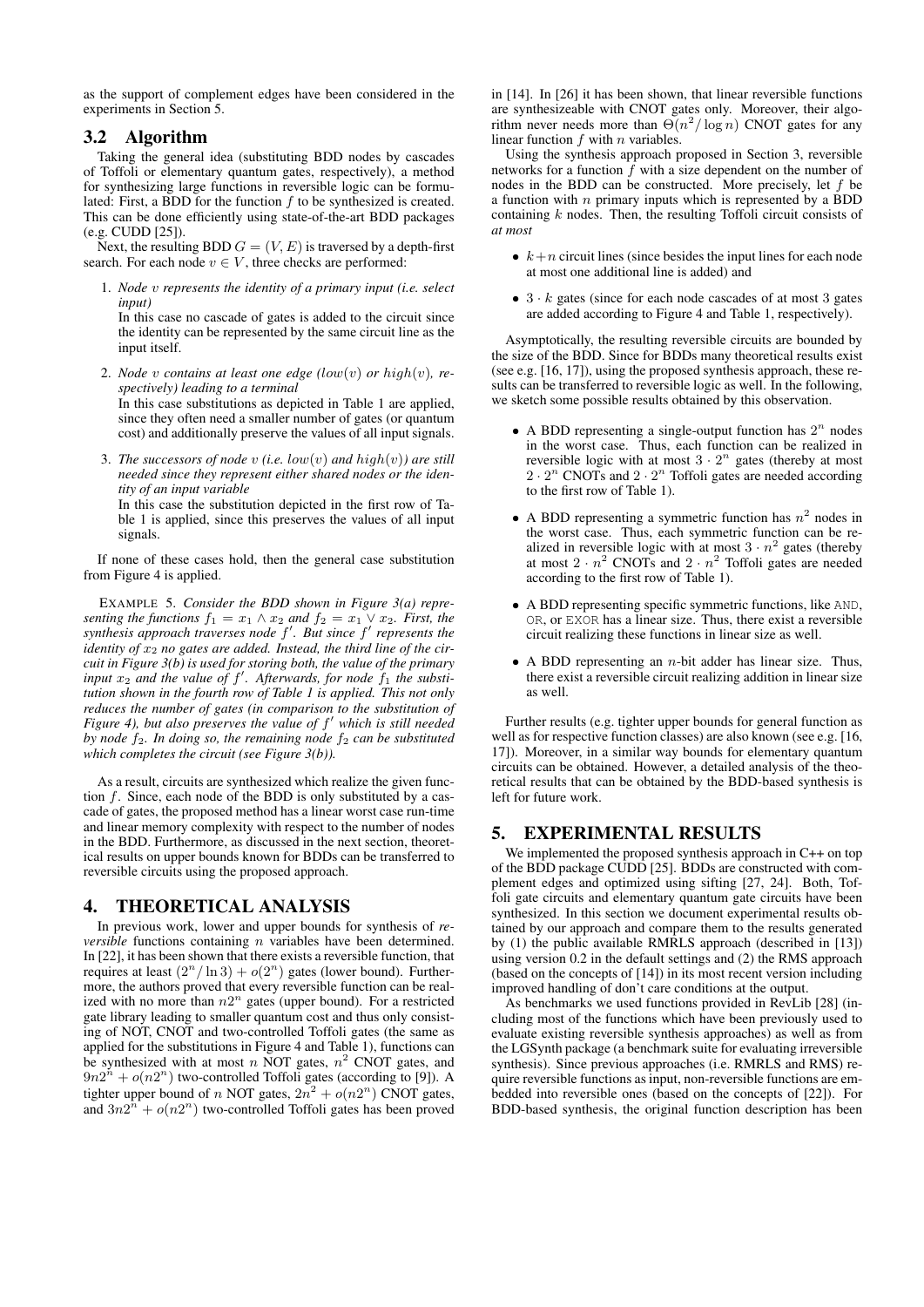as the support of complement edges have been considered in the experiments in Section 5.

## 3.2 Algorithm

Taking the general idea (substituting BDD nodes by cascades of Toffoli or elementary quantum gates, respectively), a method for synthesizing large functions in reversible logic can be formulated: First, a BDD for the function  $f$  to be synthesized is created. This can be done efficiently using state-of-the-art BDD packages (e.g. CUDD [25]).

Next, the resulting BDD  $G = (V, E)$  is traversed by a depth-first search. For each node  $v \in V$ , three checks are performed:

1. *Node* v *represents the identity of a primary input (i.e. select input)*

In this case no cascade of gates is added to the circuit since the identity can be represented by the same circuit line as the input itself.

- 2. *Node*  $v$  *contains at least one edge* (*low*( $v$ ) *or* high( $v$ ), *respectively) leading to a terminal* In this case substitutions as depicted in Table 1 are applied, since they often need a smaller number of gates (or quantum cost) and additionally preserve the values of all input signals.
- 3. *The successors of node* v *(i.e.* low(v) *and* high(v)*) are still needed since they represent either shared nodes or the identity of an input variable* In this case the substitution depicted in the first row of Ta-

ble 1 is applied, since this preserves the values of all input signals.

If none of these cases hold, then the general case substitution from Figure 4 is applied.

EXAMPLE 5. *Consider the BDD shown in Figure 3(a) representing the functions*  $f_1 = x_1 \wedge x_2$  *and*  $f_2 = x_1 \vee x_2$ *. First, the synthesis approach traverses node*  $f'$ *. But since*  $f'$  *represents the* identity of  $x_2$  no gates are added. Instead, the third line of the cir*cuit in Figure 3(b) is used for storing both, the value of the primary input*  $x_2$  *and the value of f'. Afterwards, for node*  $f_1$  *the substitution shown in the fourth row of Table 1 is applied. This not only reduces the number of gates (in comparison to the substitution of Figure 4), but also preserves the value of* f <sup>0</sup> *which is still needed by node*  $f_2$ *. In doing so, the remaining node*  $f_2$  *can be substituted which completes the circuit (see Figure 3(b)).*

As a result, circuits are synthesized which realize the given function f. Since, each node of the BDD is only substituted by a cascade of gates, the proposed method has a linear worst case run-time and linear memory complexity with respect to the number of nodes in the BDD. Furthermore, as discussed in the next section, theoretical results on upper bounds known for BDDs can be transferred to reversible circuits using the proposed approach.

## 4. THEORETICAL ANALYSIS

In previous work, lower and upper bounds for synthesis of *reversible* functions containing *n* variables have been determined. In [22], it has been shown that there exists a reversible function, that requires at least  $(2^n/\ln 3) + o(2^n)$  gates (lower bound). Furthermore, the authors proved that every reversible function can be realized with no more than  $n2^n$  gates (upper bound). For a restricted gate library leading to smaller quantum cost and thus only consisting of NOT, CNOT and two-controlled Toffoli gates (the same as applied for the substitutions in Figure 4 and Table 1), functions can be synthesized with at most n NOT gates,  $n^2$  CNOT gates, and  $9n2^{n} + o(n2^{n})$  two-controlled Toffoli gates (according to [9]). A tighter upper bound of n NOT gates,  $2n^2 + o(n2^n)$  CNOT gates, and  $3n2^{n} + o(n2^{n})$  two-controlled Toffoli gates has been proved

in [14]. In [26] it has been shown, that linear reversible functions are synthesizeable with CNOT gates only. Moreover, their algorithm never needs more than  $\Theta(n^2/\log n)$  CNOT gates for any linear function  $f$  with  $n$  variables.

Using the synthesis approach proposed in Section 3, reversible networks for a function  $\bar{f}$  with a size dependent on the number of nodes in the BDD can be constructed. More precisely, let  $f$  be a function with  $n$  primary inputs which is represented by a BDD containing  $k$  nodes. Then, the resulting Toffoli circuit consists of *at most*

- $k+n$  circuit lines (since besides the input lines for each node at most one additional line is added) and
- $3 \cdot k$  gates (since for each node cascades of at most 3 gates are added according to Figure 4 and Table 1, respectively).

Asymptotically, the resulting reversible circuits are bounded by the size of the BDD. Since for BDDs many theoretical results exist (see e.g. [16, 17]), using the proposed synthesis approach, these results can be transferred to reversible logic as well. In the following, we sketch some possible results obtained by this observation.

- A BDD representing a single-output function has  $2^n$  nodes in the worst case. Thus, each function can be realized in reversible logic with at most  $3 \cdot 2^n$  gates (thereby at most  $2 \cdot 2^n$  CNOTs and  $2 \cdot 2^n$  Toffoli gates are needed according to the first row of Table 1).
- A BDD representing a symmetric function has  $n^2$  nodes in the worst case. Thus, each symmetric function can be realized in reversible logic with at most  $3 \cdot n^2$  gates (thereby at most  $2 \cdot n^2$  CNOTs and  $2 \cdot n^2$  Toffoli gates are needed according to the first row of Table 1).
- A BDD representing specific symmetric functions, like AND, OR, or EXOR has a linear size. Thus, there exist a reversible circuit realizing these functions in linear size as well.
- A BDD representing an  $n$ -bit adder has linear size. Thus, there exist a reversible circuit realizing addition in linear size as well.

Further results (e.g. tighter upper bounds for general function as well as for respective function classes) are also known (see e.g. [16, 17]). Moreover, in a similar way bounds for elementary quantum circuits can be obtained. However, a detailed analysis of the theoretical results that can be obtained by the BDD-based synthesis is left for future work.

## 5. EXPERIMENTAL RESULTS

We implemented the proposed synthesis approach in C++ on top of the BDD package CUDD [25]. BDDs are constructed with complement edges and optimized using sifting [27, 24]. Both, Toffoli gate circuits and elementary quantum gate circuits have been synthesized. In this section we document experimental results obtained by our approach and compare them to the results generated by (1) the public available RMRLS approach (described in [13]) using version 0.2 in the default settings and (2) the RMS approach (based on the concepts of [14]) in its most recent version including improved handling of don't care conditions at the output.

As benchmarks we used functions provided in RevLib [28] (including most of the functions which have been previously used to evaluate existing reversible synthesis approaches) as well as from the LGSynth package (a benchmark suite for evaluating irreversible synthesis). Since previous approaches (i.e. RMRLS and RMS) require reversible functions as input, non-reversible functions are embedded into reversible ones (based on the concepts of [22]). For BDD-based synthesis, the original function description has been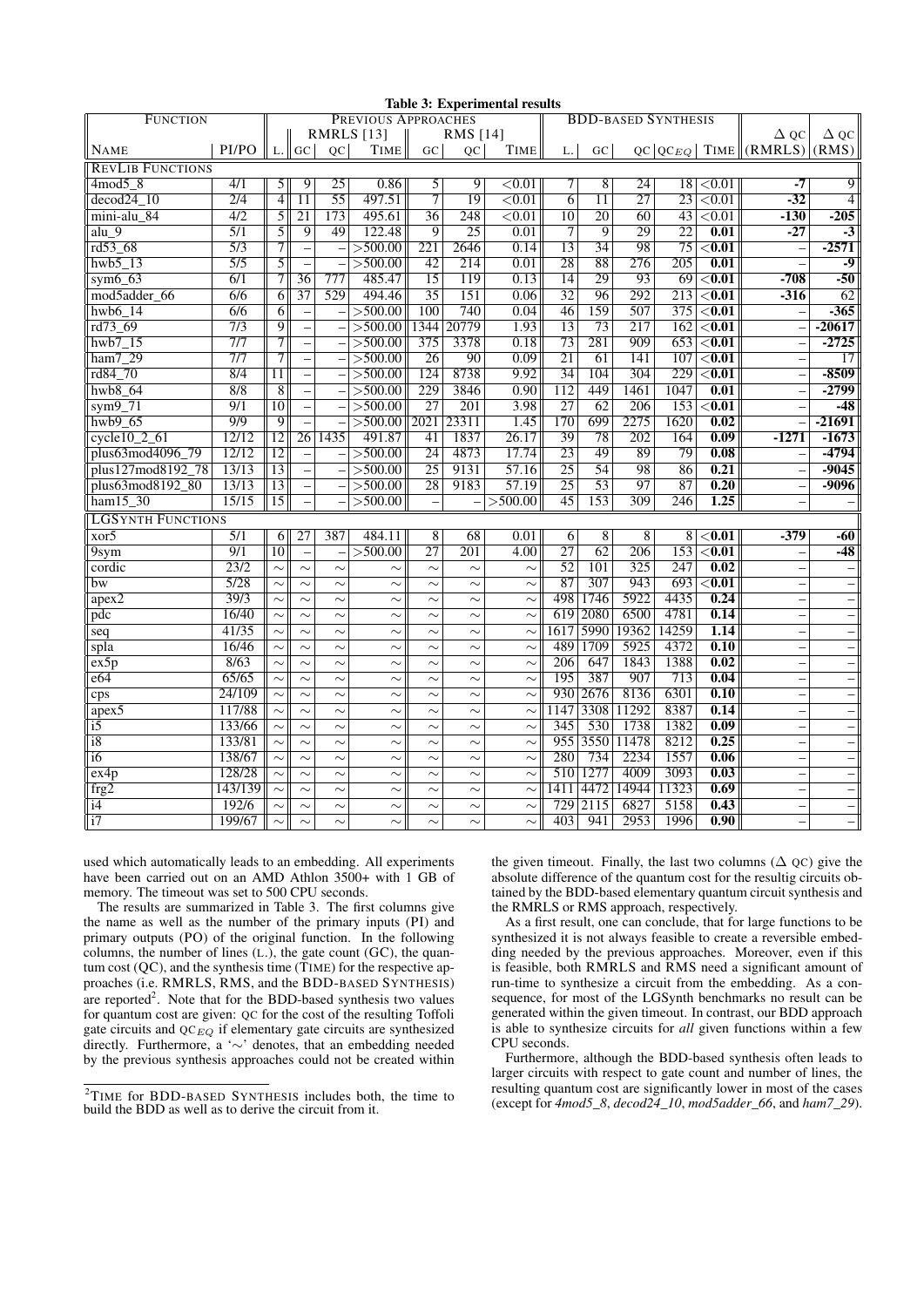| <b>FUNCTION</b>          |                  |                   | таріс эт ехрегийстваг гемпіз<br>PREVIOUS APPROACHES |                          |             |                  |                  |                    |                 | <b>BDD-BASED SYNTHESIS</b> |                 |                  |                    |                                      |                          |
|--------------------------|------------------|-------------------|-----------------------------------------------------|--------------------------|-------------|------------------|------------------|--------------------|-----------------|----------------------------|-----------------|------------------|--------------------|--------------------------------------|--------------------------|
|                          |                  |                   |                                                     |                          | RMRLS [13]  |                  | RMS [14]         |                    |                 |                            |                 |                  |                    | Д ос                                 | $\Delta$ QC              |
| PI/PO<br><b>NAME</b>     |                  |                   | $L.$ GC                                             | OC                       | <b>TIME</b> | GC               | <b>OC</b>        | TIME               | L.              | G <sub>C</sub>             |                 |                  |                    | $QC QC_{EQ} $ TIME $ (RMRLS) (RMS) $ |                          |
| <b>REVLIB FUNCTIONS</b>  |                  |                   |                                                     |                          |             |                  |                  |                    |                 |                            |                 |                  |                    |                                      |                          |
| $4 \mod 5$ 8             | $\overline{4/1}$ | $\overline{5}$    | $\overline{9}$                                      | $\overline{25}$          | 0.86        | 5                | $\overline{9}$   | $\overline{<}0.01$ | 7               | $\overline{8}$             | $\overline{24}$ | 18               | $\overline{0.01}$  | $-7$                                 | 9                        |
| $decod24$ 10             | $\overline{2/4}$ | $\overline{4}$    | $\overline{11}$                                     | $\overline{55}$          | 497.51      | 7                | $\overline{19}$  | < 0.01             | $\overline{6}$  | $\overline{11}$            | $\overline{27}$ | $\overline{23}$  | ${<}0.01$          | $-32$                                | $\overline{4}$           |
| mini-alu 84              | 4/2              | 5                 | 21                                                  | 173                      | 495.61      | 36               | 248              | ${<}0.01$          | $\overline{10}$ | $\overline{20}$            | 60              | 43               | < 0.01             | $-130$                               | $-205$                   |
| alu 9                    | 5/1              | $\overline{5}$    | 9                                                   | 49                       | 122.48      | 9                | $\overline{25}$  | 0.01               | 7               | $\overline{9}$             | $\overline{29}$ | $\overline{22}$  | $\overline{0.01}$  | $-27$                                | $-3$                     |
| rd53_68                  | $\overline{5/3}$ | $\overline{7}$    |                                                     |                          | >500.00     | 221              | 2646             | 0.14               | 13              | 34                         | 98              | 75               | $0.01$             |                                      | $-2571$                  |
| hwb5 13                  | $\overline{5/5}$ | $\overline{5}$    |                                                     |                          | >500.00     | 42               | 214              | 0.01               | 28              | $\overline{88}$            | 276             | $\overline{205}$ | 0.01               |                                      | -9                       |
| sym $6\,63$              | 6/1              | 7 <sup>1</sup>    | 36                                                  | 777                      | 485.47      | $\overline{15}$  | 119              | 0.13               | $\overline{14}$ | 29                         | $\overline{93}$ | $\overline{69}$  | $\overline{<}0.01$ | $-708$                               | $-50$                    |
| mod5adder 66             | 6/6              | 6                 | 37                                                  | 529                      | 494.46      | $\overline{35}$  | 151              | 0.06               | $\overline{32}$ | 96                         | 292             | 213              | $\overline{<}0.01$ | $-316$                               | $\overline{62}$          |
| hwb $6\;14$              | 6/6              | 6                 | $\overline{\phantom{a}}$                            | $\overline{\phantom{0}}$ | >500.00     | 100              | 740              | 0.04               | 46              | 159                        | 507             | 375              | $0.01$             |                                      | $-365$                   |
| rd73_69                  | 7/3              | $\overline{9}$    |                                                     |                          | >500.00     | 1344             | 20779            | 1.93               | 13              | 73                         | 217             | 162              | $\overline{<}0.01$ |                                      | $-20617$                 |
| $hwb7_15$                | 7/7              | $\overline{\tau}$ | $\overline{\phantom{0}}$                            | $\equiv$                 | >500.00     | $\overline{375}$ | 3378             | 0.18               | $\overline{73}$ | 281                        | 909             | 653              | $\overline{<}0.01$ |                                      | $-2725$                  |
| $ham7_29$                | 7/7              | 71                |                                                     |                          | >500.00     | $\overline{26}$  | 90               | 0.09               | $\overline{21}$ | 61                         | 141             | 107              | $\overline{<}0.01$ |                                      | $\overline{17}$          |
| rd84_70                  | 8/4              | 11                | $\overline{\phantom{0}}$                            |                          | >500.00     | 124              | 8738             | 9.92               | $\overline{34}$ | 104                        | 304             | 229              | $\overline{<}0.01$ |                                      | $-8509$                  |
| hwb8 64                  | 8/8              | $\overline{8}$    | $\equiv$                                            | $\qquad \qquad -$        | >500.00     | 229              | 3846             | 0.90               | 112             | 449                        | 1461            | 1047             | 0.01               |                                      | $-2799$                  |
| $sym9-71$                | $\overline{9/1}$ | 10 <sup>1</sup>   |                                                     |                          | >500.00     | $\overline{27}$  | $\overline{201}$ | 3.98               | $\overline{27}$ | $\overline{62}$            | 206             | 153              | $\overline{<}0.01$ |                                      | $-48$                    |
| $hwb9$ 65                | 9/9              | $\overline{9}$    |                                                     | $\overline{a}$           | >500.00     | 2021             | 23311            | 1.45               | 170             | 699                        | 2275            | 1620             | 0.02               |                                      | $-21691$                 |
| $cycle10_2_61$           | 12/12            | 12                | 26                                                  | 1435                     | 491.87      | 41               | 1837             | 26.17              | 39              | 78                         | 202             | 164              | 0.09               | $-1271$                              | $-1673$                  |
| plus63mod4096_79         | 12/12            | 12                | $\overline{\phantom{a}}$                            |                          | >500.00     | 24               | 4873             | 17.74              | 23              | 49                         | 89              | 79               | 0.08               |                                      | $-4794$                  |
| plus127mod8192_78        | 13/13            | $\overline{13}$   |                                                     |                          | >500.00     | $\overline{25}$  | 9131             | 57.16              | $\overline{25}$ | $\overline{54}$            | 98              | 86               | $\overline{0.21}$  |                                      | $-9045$                  |
| plus63mod8192_80         | 13/13            | 13                |                                                     | $\overline{\phantom{0}}$ | >500.00     | $\overline{28}$  | 9183             | 57.19              | $\overline{25}$ | $\overline{53}$            | 97              | $\overline{87}$  | 0.20               |                                      | $-9096$                  |
| $ham15_30$               | 15/15            | $\overline{15}$   |                                                     |                          | >500.00     |                  |                  | >500.00            | 45              | 153                        | 309             | 246              | 1.25               |                                      |                          |
| <b>LGSYNTH FUNCTIONS</b> |                  |                   |                                                     |                          |             |                  |                  |                    |                 |                            |                 |                  |                    |                                      |                          |
| xor5                     | $\overline{5/1}$ | 6                 | 27                                                  | 387                      | 484.11      | 8                | 68               | 0.01               | 6               | 8                          | 8               | 8                | $\overline{<}0.01$ | $-379$                               | $-60$                    |
| 9sym                     | $\overline{9/1}$ | 10                |                                                     |                          | >500.00     | $\overline{27}$  | $\overline{201}$ | 4.00               | $\overline{27}$ | $\overline{62}$            | 206             | 153              | $\overline{<}0.01$ |                                      | $-48$                    |
| cordic                   | 23/2             | $\sim$            | $\sim$                                              | $\sim$                   | $\sim$      | $\sim$           | $\sim$           | $\sim$             | $\overline{52}$ | 101                        | 325             | 247              | 0.02               |                                      |                          |
| bw                       | $\sqrt{5/28}$    | $\sim$            | $\sim$                                              | $\sim$                   | $\sim$      | $\sim$           | $\sim$           | $\sim$             | $\overline{87}$ | 307                        | 943             | 693              | $<$ $0.01$         |                                      |                          |
| apex2                    | 39/3             | $\sim$            | $\sim$                                              | $\sim$                   | $\sim$      | $\sim$           | $\sim$           | $\sim$             | 498             | 1746                       | 5922            | 4435             | 0.24               | $\equiv$                             |                          |
| pdc                      | 16/40            | $\sim$            | $\sim$                                              | $\sim$                   | $\sim$      | $\sim$           | $\sim$           | $\sim$             | 619             | 2080                       | 6500            | 4781             | 0.14               |                                      |                          |
| seq                      | 41/35            | $\sim$            | $\sim$                                              | $\sim$                   | $\sim$      | $\sim$           | $\sim$           | $\sim$             | 1617            | 5990                       | 19362           | 14259            | 1.14               |                                      |                          |
| spla                     | 16/46            | $\sim$            | $\sim$                                              | $\sim$                   | $\sim$      | $\sim$           | $\sim$           | $\sim$             | 489             | 1709                       | 5925            | 4372             | 0.10               |                                      | $\overline{\phantom{0}}$ |
| ex5p                     | 8/63             | $\sim$            | $\sim$                                              | $\sim$                   | $\sim$      | $\sim$           | $\sim$           | $\sim$             | 206             | 647                        | 1843            | 1388             | 0.02               |                                      |                          |
| e64                      | 65/65            | $\sim$            | $\sim$                                              | $\sim$                   | $\sim$      | $\sim$           | $\sim$           | $\sim$             | 195             | 387                        | 907             | 713              | 0.04               |                                      |                          |
| cps                      | 24/109           | $\sim$            | $\sim$                                              | $\sim$                   | $\sim$      | $\sim$           | $\sim$           | $\sim$             | 930             | 2676                       | 8136            | 6301             | $\overline{0.10}$  |                                      |                          |
| $apex\overline{5}$       | 117/88           | $\sim$            | $\sim$                                              | $\sim$                   | $\sim$      | $\sim$           | $\sim$           | $\sim$             | 1147            | 3308                       | 11292           | 8387             | 0.14               |                                      |                          |
| $\overline{15}$          | 133/66           | $\sim$            | $\sim$                                              | $\sim$                   | $\sim$      | $\sim$           | $\sim$           | $\sim$             | 345             | 530                        | 1738            | 1382             | 0.09               |                                      |                          |
| $\overline{18}$          | 133/81           | $\sim$            | $\sim$                                              | $\sim$                   | $\sim$      | $\sim$           | $\sim$           | $\sim$             | 955             | 3550                       | 11478           | 8212             | 0.25               |                                      |                          |
| $\overline{16}$          | 138/67           | $\sim$            | $\sim$                                              | $\sim$                   | $\sim$      | $\sim$           | $\sim$           | $\sim$             | 280             | 734                        | 2234            | 1557             | 0.06               | —                                    | $\qquad \qquad -$        |
| ex4p                     | 128/28           | $\sim$            | $\sim$                                              | $\sim$                   | $\sim$      | $\sim$           | $\sim$           | $\sim$             |                 | 510 1277                   | 4009            | 3093             | 0.03               |                                      |                          |
| frg2                     | 143/139          |                   | $\sim$                                              | $\sim$                   | $\sim$      | $\sim$           | $\sim$           | $\sim$             | 1411            | 4472                       | 14944           | 11323            | 0.69               |                                      |                          |
| $\overline{14}$          | 192/6            | $\sim$            | $\sim$                                              | $\sim$                   | $\sim$      | $\sim$           | $\sim$           | $\sim$             | 729             | 2115                       | 6827            | 5158             | 0.43               |                                      |                          |
| $\overline{17}$          | 199/67           | $\sim$            | $\sim$                                              | $\sim$                   | $\sim$      | $\sim$           | $\sim$           | $\sim$             | 403             | 941                        | 2953            | 1996             | 0.90               |                                      | $\qquad \qquad -$        |

#### Table 2: Experimental results

used which automatically leads to an embedding. All experiments have been carried out on an AMD Athlon 3500+ with 1 GB of memory. The timeout was set to 500 CPU seconds.

The results are summarized in Table 3. The first columns give the name as well as the number of the primary inputs (PI) and primary outputs (PO) of the original function. In the following columns, the number of lines (L.), the gate count (GC), the quantum cost (QC), and the synthesis time (TIME) for the respective approaches (i.e. RMRLS, RMS, and the BDD-BASED SYNTHESIS) are reported<sup>2</sup>. Note that for the BDD-based synthesis two values for quantum cost are given: QC for the cost of the resulting Toffoli gate circuits and  $QC_{EQ}$  if elementary gate circuits are synthesized directly. Furthermore, a '∼' denotes, that an embedding needed by the previous synthesis approaches could not be created within

the given timeout. Finally, the last two columns ( $\Delta$  QC) give the absolute difference of the quantum cost for the resultig circuits obtained by the BDD-based elementary quantum circuit synthesis and the RMRLS or RMS approach, respectively.

As a first result, one can conclude, that for large functions to be synthesized it is not always feasible to create a reversible embedding needed by the previous approaches. Moreover, even if this is feasible, both RMRLS and RMS need a significant amount of run-time to synthesize a circuit from the embedding. As a consequence, for most of the LGSynth benchmarks no result can be generated within the given timeout. In contrast, our BDD approach is able to synthesize circuits for *all* given functions within a few CPU seconds.

Furthermore, although the BDD-based synthesis often leads to larger circuits with respect to gate count and number of lines, the resulting quantum cost are significantly lower in most of the cases (except for *4mod5\_8*, *decod24\_10*, *mod5adder\_66*, and *ham7\_29*).

<sup>&</sup>lt;sup>2</sup>TIME for BDD-BASED SYNTHESIS includes both, the time to build the BDD as well as to derive the circuit from it.